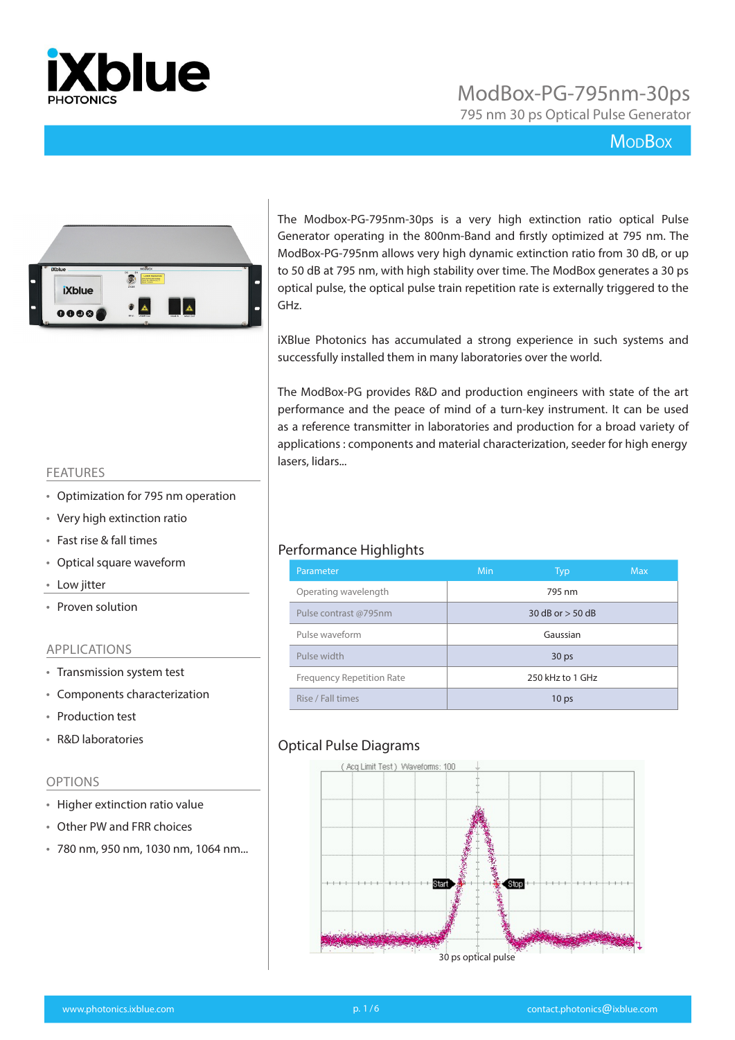

795 nm 30 ps Optical Pulse Generator

### **MopBox**



The Modbox-PG-795nm-30ps is a very high extinction ratio optical Pulse Generator operating in the 800nm-Band and firstly optimized at 795 nm. The ModBox-PG-795nm allows very high dynamic extinction ratio from 30 dB, or up to 50 dB at 795 nm, with high stability over time. The ModBox generates a 30 ps optical pulse, the optical pulse train repetition rate is externally triggered to the GHz.

iXBlue Photonics has accumulated a strong experience in such systems and successfully installed them in many laboratories over the world.

The ModBox-PG provides R&D and production engineers with state of the art performance and the peace of mind of a turn-key instrument. It can be used as a reference transmitter in laboratories and production for a broad variety of applications : components and material characterization, seeder for high energy lasers, lidars...

#### FEATURES

- Optimization for 795 nm operation
- Very high extinction ratio
- Fast rise & fall times
- Optical square waveform
- Low jitter
- Proven solution

#### APPLICATIONS

- Transmission system test
- Components characterization
- Production test
- R&D laboratories

#### OPTIONS

- Higher extinction ratio value
- Other PW and FRR choices
- 780 nm, 950 nm, 1030 nm, 1064 nm...

#### Performance Highlights

| Parameter                        | <b>Min</b> | <b>Typ</b>           | <b>Max</b> |
|----------------------------------|------------|----------------------|------------|
| Operating wavelength             |            | 795 nm               |            |
| Pulse contrast @795nm            |            | $30 dB$ or $> 50 dB$ |            |
| Pulse waveform                   |            | Gaussian             |            |
| Pulse width                      |            | 30 <sub>ps</sub>     |            |
| <b>Frequency Repetition Rate</b> |            | 250 kHz to 1 GHz     |            |
| Rise / Fall times                |            | 10 <sub>ps</sub>     |            |

#### Optical Pulse Diagrams

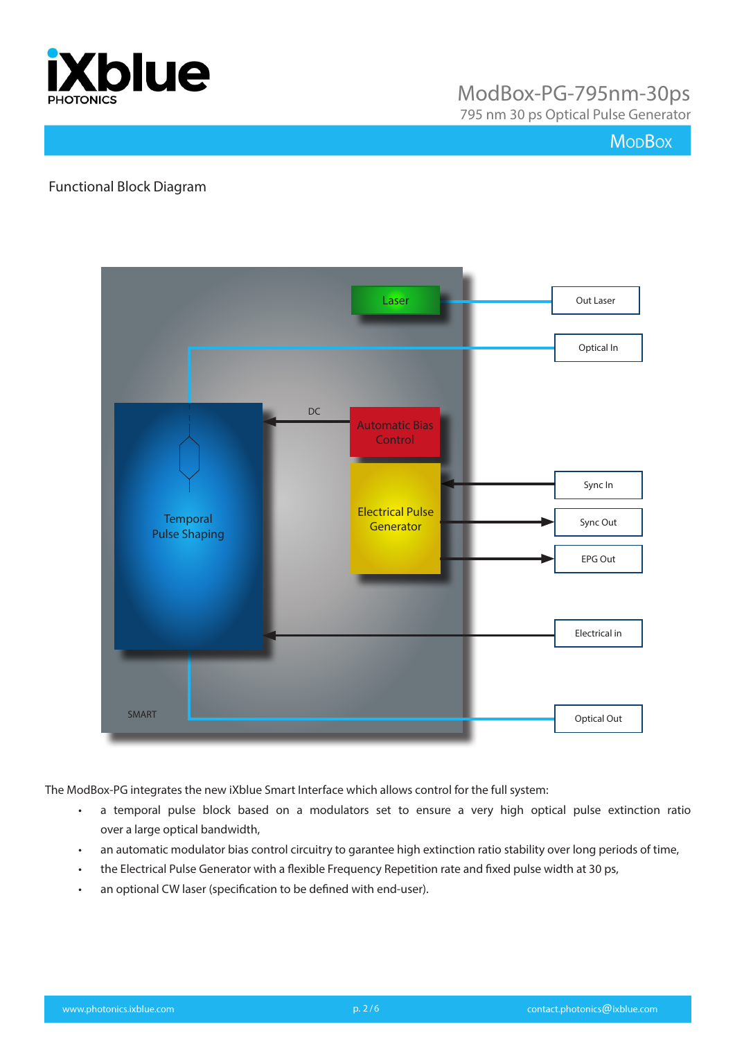

795 nm 30 ps Optical Pulse Generator

### **Mo<sub>D</sub>Box**

#### Functional Block Diagram



The ModBox-PG integrates the new iXblue Smart Interface which allows control for the full system:

- a temporal pulse block based on a modulators set to ensure a very high optical pulse extinction ratio over a large optical bandwidth,
- an automatic modulator bias control circuitry to garantee high extinction ratio stability over long periods of time,
- the Electrical Pulse Generator with a flexible Frequency Repetition rate and fixed pulse width at 30 ps,
- an optional CW laser (specification to be defined with end-user).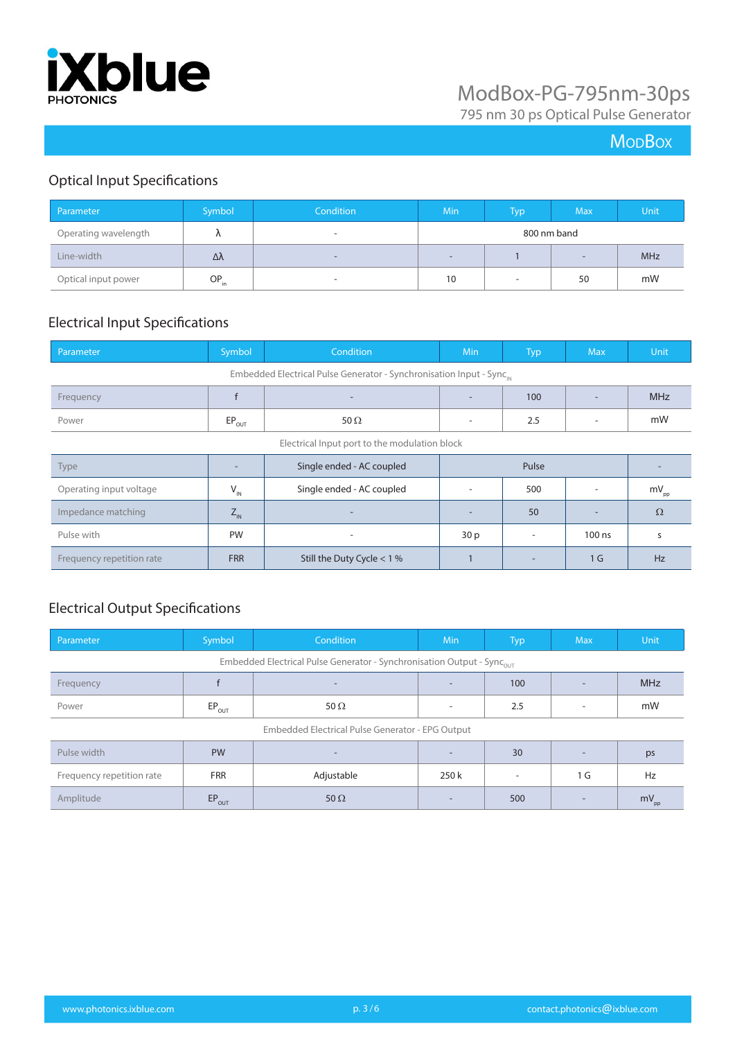

795 nm 30 ps Optical Pulse Generator

## **MoDBox**

## Optical Input Specifications

| Parameter            | Symbol <sup>1</sup> | Condition                      | <b>Min</b>        | Typ <sup>1</sup> | <b>Max</b> | Unit       |
|----------------------|---------------------|--------------------------------|-------------------|------------------|------------|------------|
| Operating wavelength | $\mathbf{u}$        | $\overline{\phantom{a}}$       | 800 nm band       |                  |            |            |
| Line-width           | Δλ                  | $\qquad \qquad =\qquad \qquad$ | $\qquad \qquad -$ |                  | $\sim$     | <b>MHz</b> |
| Optical input power  | $OP_{in}$           | $\overline{\phantom{a}}$       | 10                | $\sim$           | 50         | mW         |

### Electrical Input Specifications

| Parameter                                                                        | Symbol                        | Condition                    | Min             | <b>Typ</b>               | <b>Max</b>     | Unit             |
|----------------------------------------------------------------------------------|-------------------------------|------------------------------|-----------------|--------------------------|----------------|------------------|
| Embedded Electrical Pulse Generator - Synchronisation Input - Sync <sub>IN</sub> |                               |                              |                 |                          |                |                  |
| Frequency                                                                        |                               |                              |                 | 100                      |                | <b>MHz</b>       |
| Power                                                                            | $EP_{OUT}$                    | 50 $\Omega$                  | ٠               | 2.5                      | ٠              | mW               |
| Electrical Input port to the modulation block                                    |                               |                              |                 |                          |                |                  |
| Type                                                                             |                               | Single ended - AC coupled    | Pulse           |                          |                |                  |
| Operating input voltage                                                          | $\mathsf{V}_{_{\mathsf{IN}}}$ | Single ended - AC coupled    |                 | 500                      |                | $mV_{\text{pp}}$ |
| Impedance matching                                                               | $Z_{\rm IN}$                  |                              |                 | 50                       |                | $\Omega$         |
| Pulse with                                                                       | PW                            | $\overline{\phantom{a}}$     | 30 <sub>p</sub> | $\overline{\phantom{a}}$ | 100 ns         | S                |
| Frequency repetition rate                                                        | <b>FRR</b>                    | Still the Duty Cycle $<$ 1 % |                 | $\overline{\phantom{a}}$ | 1 <sub>G</sub> | Hz               |

## Electrical Output Specifications

| Parameter                                                                          | Symbol     | Condition                | Min                      | Typ                      | <b>Max</b>               | Unit       |
|------------------------------------------------------------------------------------|------------|--------------------------|--------------------------|--------------------------|--------------------------|------------|
| Embedded Electrical Pulse Generator - Synchronisation Output - Sync <sub>out</sub> |            |                          |                          |                          |                          |            |
| Frequency                                                                          |            | $\overline{\phantom{0}}$ |                          | 100                      |                          | <b>MHz</b> |
| Power                                                                              | $EP_{OUT}$ | 50 $\Omega$              | ٠                        | 2.5                      | $\overline{\phantom{a}}$ | mW         |
| Embedded Electrical Pulse Generator - EPG Output                                   |            |                          |                          |                          |                          |            |
| Pulse width                                                                        | <b>PW</b>  | $\overline{\phantom{a}}$ | $\overline{\phantom{a}}$ | 30                       | $\overline{\phantom{a}}$ | ps         |
| Frequency repetition rate                                                          | <b>FRR</b> | Adjustable               | 250 k                    | $\overline{\phantom{a}}$ | 1 G                      | Hz         |
| Amplitude                                                                          | $EP_{OUT}$ | 50 $\Omega$              | $\overline{\phantom{a}}$ | 500                      | $\overline{\phantom{a}}$ | $mV_{pp}$  |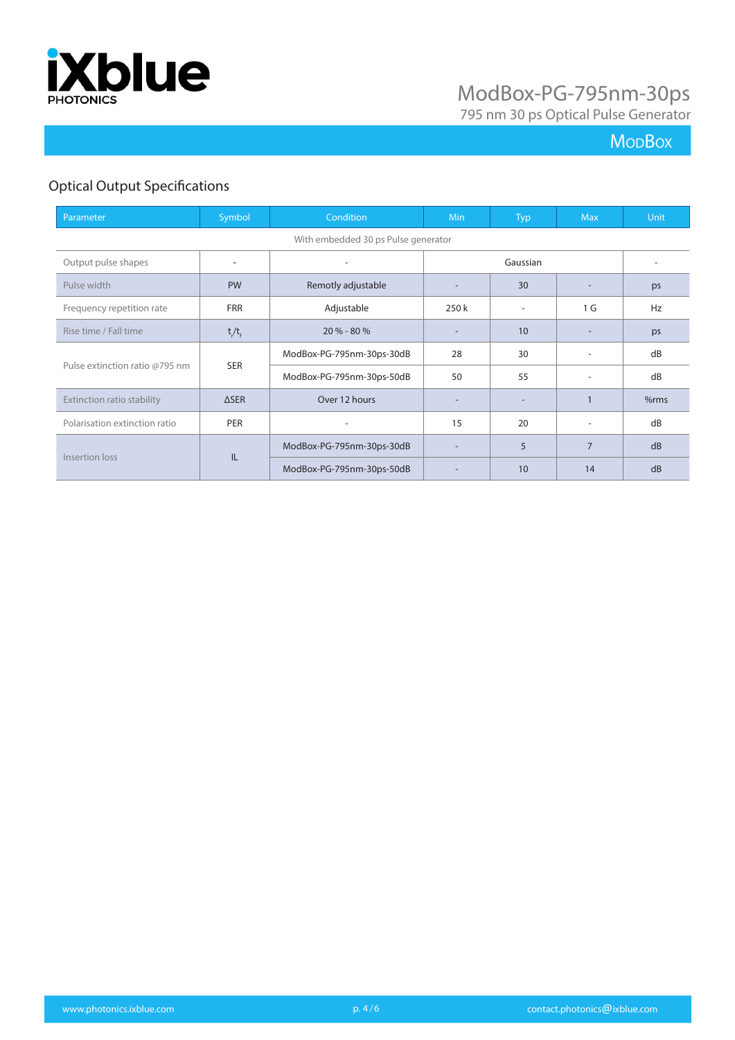

795 nm 30 ps Optical Pulse Generator

## **Mo<sub>D</sub>Box**

## Optical Output Specifications

| Parameter                           | Symbol      | Condition                 | <b>Min</b>               | <b>Typ</b> | <b>Max</b>               | <b>Unit</b> |
|-------------------------------------|-------------|---------------------------|--------------------------|------------|--------------------------|-------------|
| With embedded 30 ps Pulse generator |             |                           |                          |            |                          |             |
| Output pulse shapes                 | ٠           |                           | Gaussian                 |            |                          |             |
| Pulse width                         | <b>PW</b>   | Remotly adjustable        |                          | 30         |                          | ps          |
| Frequency repetition rate           | <b>FRR</b>  | Adjustable                | 250 k                    |            | 1 G                      | Hz          |
| Rise time / Fall time               | $t/t_{f}$   | $20 \% - 80 \%$           |                          | 10         |                          | ps          |
|                                     |             | ModBox-PG-795nm-30ps-30dB | 28                       | 30         | ٠                        | dB          |
| Pulse extinction ratio @795 nm      | <b>SER</b>  | ModBox-PG-795nm-30ps-50dB | 50                       | 55         | ۰                        | dB          |
| Extinction ratio stability          | <b>ASER</b> | Over 12 hours             |                          |            |                          | %rms        |
| Polarisation extinction ratio       | <b>PER</b>  |                           | 15                       | 20         | $\overline{\phantom{a}}$ | dB          |
| Insertion loss<br>IL                |             | ModBox-PG-795nm-30ps-30dB | $\overline{\phantom{0}}$ | 5          | $\overline{7}$           | dB          |
|                                     |             | ModBox-PG-795nm-30ps-50dB |                          | 10         | 14                       | dB          |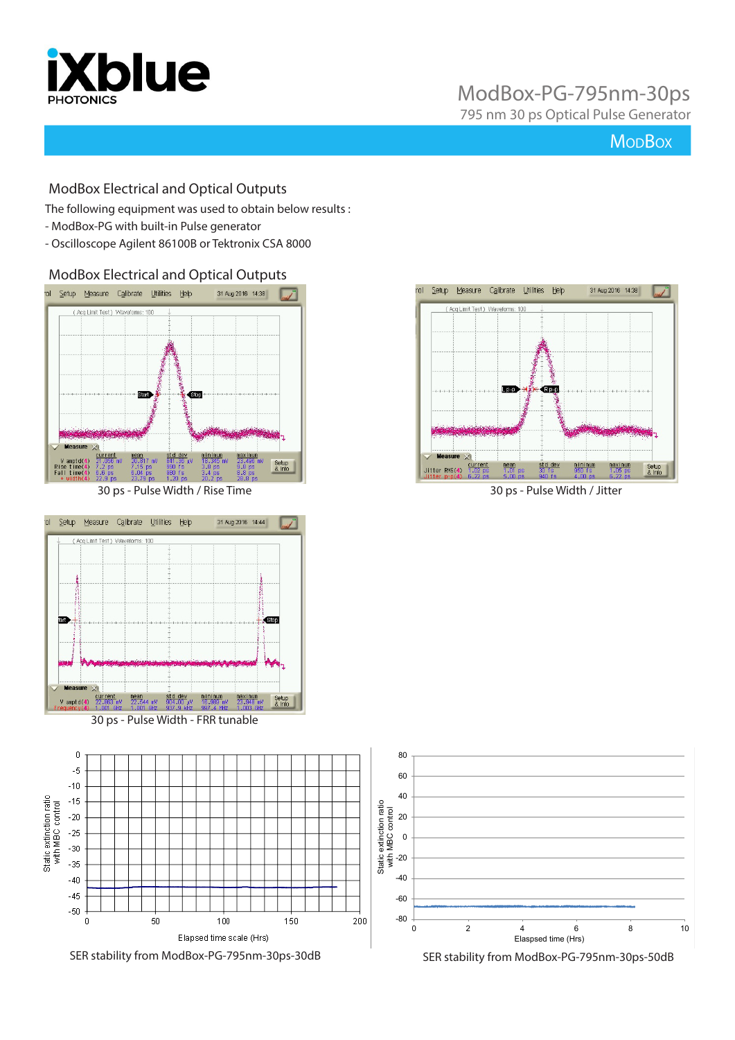

795 nm 30 ps Optical Pulse Generator

### **Mo<sub>D</sub>Box**

#### ModBox Electrical and Optical Outputs

The following equipment was used to obtain below results :

- ModBox-PG with built-in Pulse generator
- Oscilloscope Agilent 86100B or Tektronix CSA 8000

ModBox Electrical and Optical Outputs



30 ps - Pulse Width / Rise Time 30 ps - Pulse Width / Jitter



30 ps - Pulse Width - FRR tunable



SER stability from ModBox-PG-795nm-30ps-30dB SER stability from ModBox-PG-795nm-30ps-50dB